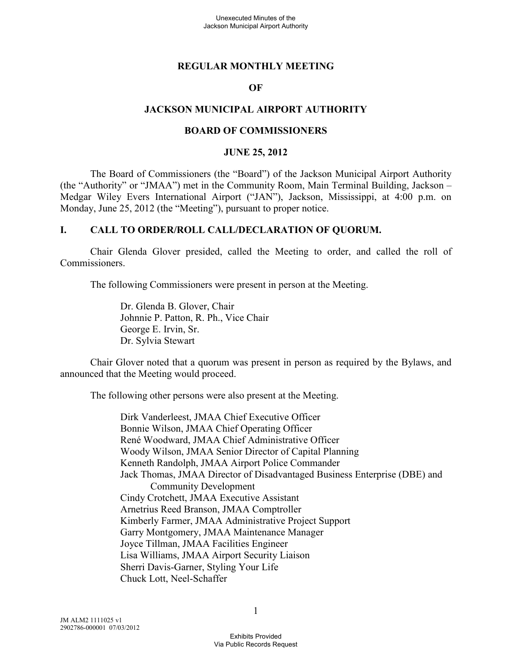#### **REGULAR MONTHLY MEETING**

#### **OF**

#### **JACKSON MUNICIPAL AIRPORT AUTHORITY**

#### **BOARD OF COMMISSIONERS**

#### **JUNE 25, 2012**

The Board of Commissioners (the "Board") of the Jackson Municipal Airport Authority (the "Authority" or "JMAA") met in the Community Room, Main Terminal Building, Jackson – Medgar Wiley Evers International Airport ("JAN"), Jackson, Mississippi, at 4:00 p.m. on Monday, June 25, 2012 (the "Meeting"), pursuant to proper notice.

#### **I. CALL TO ORDER/ROLL CALL/DECLARATION OF QUORUM.**

Chair Glenda Glover presided, called the Meeting to order, and called the roll of Commissioners.

The following Commissioners were present in person at the Meeting.

Dr. Glenda B. Glover, Chair Johnnie P. Patton, R. Ph., Vice Chair George E. Irvin, Sr. Dr. Sylvia Stewart

Chair Glover noted that a quorum was present in person as required by the Bylaws, and announced that the Meeting would proceed.

The following other persons were also present at the Meeting.

Dirk Vanderleest, JMAA Chief Executive Officer Bonnie Wilson, JMAA Chief Operating Officer René Woodward, JMAA Chief Administrative Officer Woody Wilson, JMAA Senior Director of Capital Planning Kenneth Randolph, JMAA Airport Police Commander Jack Thomas, JMAA Director of Disadvantaged Business Enterprise (DBE) and Community Development Cindy Crotchett, JMAA Executive Assistant Arnetrius Reed Branson, JMAA Comptroller Kimberly Farmer, JMAA Administrative Project Support Garry Montgomery, JMAA Maintenance Manager Joyce Tillman, JMAA Facilities Engineer Lisa Williams, JMAA Airport Security Liaison Sherri Davis-Garner, Styling Your Life Chuck Lott, Neel-Schaffer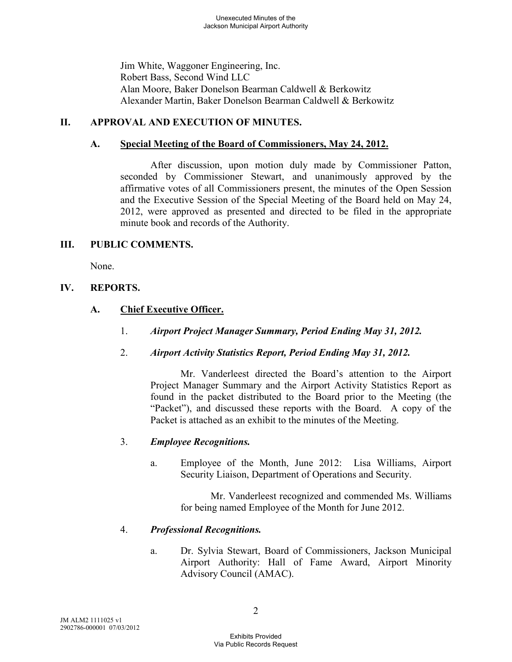Jim White, Waggoner Engineering, Inc. Robert Bass, Second Wind LLC Alan Moore, Baker Donelson Bearman Caldwell & Berkowitz Alexander Martin, Baker Donelson Bearman Caldwell & Berkowitz

## **II. APPROVAL AND EXECUTION OF MINUTES.**

## **A. Special Meeting of the Board of Commissioners, May 24, 2012.**

After discussion, upon motion duly made by Commissioner Patton, seconded by Commissioner Stewart, and unanimously approved by the affirmative votes of all Commissioners present, the minutes of the Open Session and the Executive Session of the Special Meeting of the Board held on May 24, 2012, were approved as presented and directed to be filed in the appropriate minute book and records of the Authority.

### **III. PUBLIC COMMENTS.**

None.

## **IV. REPORTS.**

## **A. Chief Executive Officer.**

- 1. *Airport Project Manager Summary, Period Ending May 31, 2012.*
- 2. *Airport Activity Statistics Report, Period Ending May 31, 2012.*

Mr. Vanderleest directed the Board's attention to the Airport Project Manager Summary and the Airport Activity Statistics Report as found in the packet distributed to the Board prior to the Meeting (the "Packet"), and discussed these reports with the Board. A copy of the Packet is attached as an exhibit to the minutes of the Meeting.

### 3. *Employee Recognitions.*

a. Employee of the Month, June 2012: Lisa Williams, Airport Security Liaison, Department of Operations and Security.

> Mr. Vanderleest recognized and commended Ms. Williams for being named Employee of the Month for June 2012.

### 4. *Professional Recognitions.*

a. Dr. Sylvia Stewart, Board of Commissioners, Jackson Municipal Airport Authority: Hall of Fame Award, Airport Minority Advisory Council (AMAC).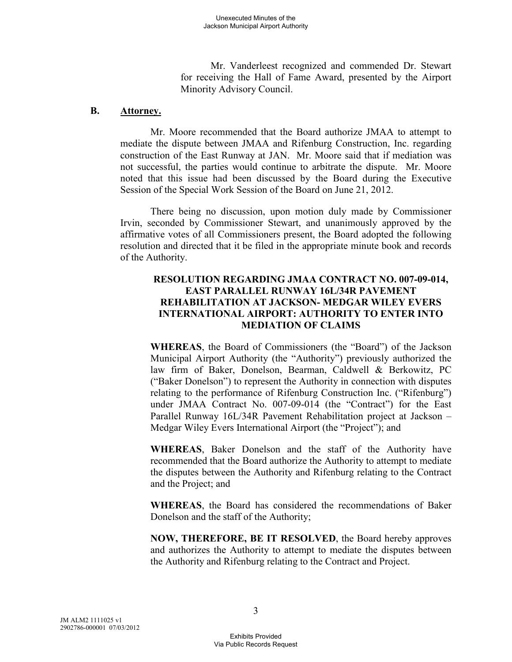Mr. Vanderleest recognized and commended Dr. Stewart for receiving the Hall of Fame Award, presented by the Airport Minority Advisory Council.

#### **B. Attorney.**

Mr. Moore recommended that the Board authorize JMAA to attempt to mediate the dispute between JMAA and Rifenburg Construction, Inc. regarding construction of the East Runway at JAN. Mr. Moore said that if mediation was not successful, the parties would continue to arbitrate the dispute. Mr. Moore noted that this issue had been discussed by the Board during the Executive Session of the Special Work Session of the Board on June 21, 2012.

There being no discussion, upon motion duly made by Commissioner Irvin, seconded by Commissioner Stewart, and unanimously approved by the affirmative votes of all Commissioners present, the Board adopted the following resolution and directed that it be filed in the appropriate minute book and records of the Authority.

### **RESOLUTION REGARDING JMAA CONTRACT NO. 007-09-014, EAST PARALLEL RUNWAY 16L/34R PAVEMENT REHABILITATION AT JACKSON- MEDGAR WILEY EVERS INTERNATIONAL AIRPORT: AUTHORITY TO ENTER INTO MEDIATION OF CLAIMS**

**WHEREAS**, the Board of Commissioners (the "Board") of the Jackson Municipal Airport Authority (the "Authority") previously authorized the law firm of Baker, Donelson, Bearman, Caldwell & Berkowitz, PC ("Baker Donelson") to represent the Authority in connection with disputes relating to the performance of Rifenburg Construction Inc. ("Rifenburg") under JMAA Contract No. 007-09-014 (the "Contract") for the East Parallel Runway 16L/34R Pavement Rehabilitation project at Jackson – Medgar Wiley Evers International Airport (the "Project"); and

**WHEREAS**, Baker Donelson and the staff of the Authority have recommended that the Board authorize the Authority to attempt to mediate the disputes between the Authority and Rifenburg relating to the Contract and the Project; and

**WHEREAS**, the Board has considered the recommendations of Baker Donelson and the staff of the Authority;

**NOW, THEREFORE, BE IT RESOLVED**, the Board hereby approves and authorizes the Authority to attempt to mediate the disputes between the Authority and Rifenburg relating to the Contract and Project.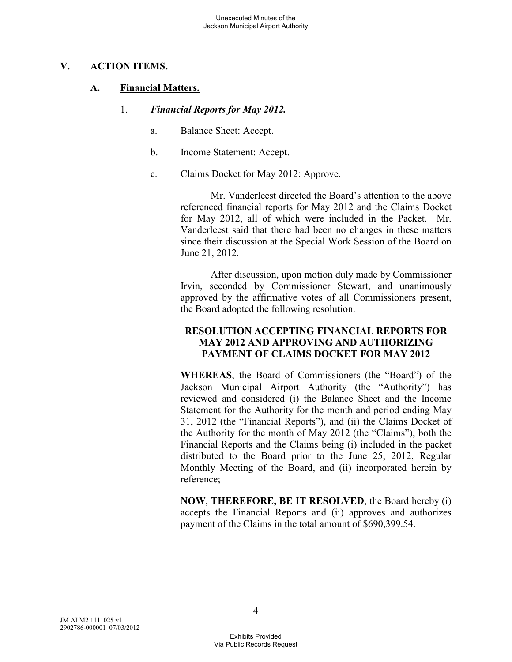### **V. ACTION ITEMS.**

### **A. Financial Matters.**

- 1. *Financial Reports for May 2012.* 
	- a. Balance Sheet: Accept.
	- b. Income Statement: Accept.
	- c. Claims Docket for May 2012: Approve.

Mr. Vanderleest directed the Board's attention to the above referenced financial reports for May 2012 and the Claims Docket for May 2012, all of which were included in the Packet. Mr. Vanderleest said that there had been no changes in these matters since their discussion at the Special Work Session of the Board on June 21, 2012.

After discussion, upon motion duly made by Commissioner Irvin, seconded by Commissioner Stewart, and unanimously approved by the affirmative votes of all Commissioners present, the Board adopted the following resolution.

#### **RESOLUTION ACCEPTING FINANCIAL REPORTS FOR MAY 2012 AND APPROVING AND AUTHORIZING PAYMENT OF CLAIMS DOCKET FOR MAY 2012**

**WHEREAS**, the Board of Commissioners (the "Board") of the Jackson Municipal Airport Authority (the "Authority") has reviewed and considered (i) the Balance Sheet and the Income Statement for the Authority for the month and period ending May 31, 2012 (the "Financial Reports"), and (ii) the Claims Docket of the Authority for the month of May 2012 (the "Claims"), both the Financial Reports and the Claims being (i) included in the packet distributed to the Board prior to the June 25, 2012, Regular Monthly Meeting of the Board, and (ii) incorporated herein by reference;

**NOW**, **THEREFORE, BE IT RESOLVED**, the Board hereby (i) accepts the Financial Reports and (ii) approves and authorizes payment of the Claims in the total amount of \$690,399.54.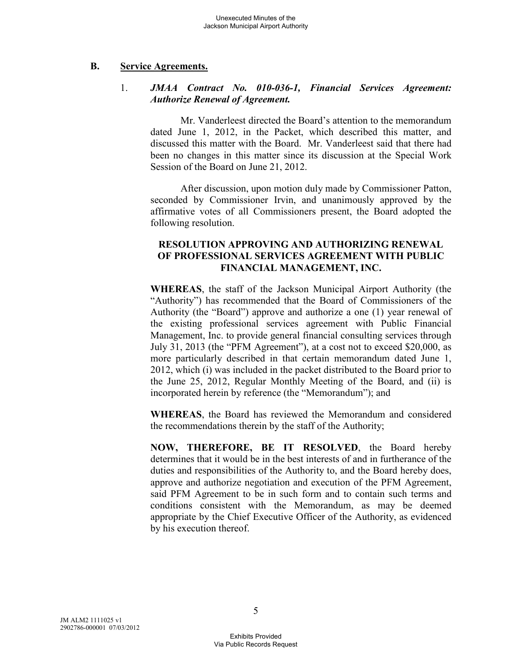#### **B. Service Agreements.**

### 1. *JMAA Contract No. 010-036-1, Financial Services Agreement: Authorize Renewal of Agreement.*

Mr. Vanderleest directed the Board's attention to the memorandum dated June 1, 2012, in the Packet, which described this matter, and discussed this matter with the Board. Mr. Vanderleest said that there had been no changes in this matter since its discussion at the Special Work Session of the Board on June 21, 2012.

After discussion, upon motion duly made by Commissioner Patton, seconded by Commissioner Irvin, and unanimously approved by the affirmative votes of all Commissioners present, the Board adopted the following resolution.

#### **RESOLUTION APPROVING AND AUTHORIZING RENEWAL OF PROFESSIONAL SERVICES AGREEMENT WITH PUBLIC FINANCIAL MANAGEMENT, INC.**

**WHEREAS**, the staff of the Jackson Municipal Airport Authority (the "Authority") has recommended that the Board of Commissioners of the Authority (the "Board") approve and authorize a one (1) year renewal of the existing professional services agreement with Public Financial Management, Inc. to provide general financial consulting services through July 31, 2013 (the "PFM Agreement"), at a cost not to exceed \$20,000, as more particularly described in that certain memorandum dated June 1, 2012, which (i) was included in the packet distributed to the Board prior to the June 25, 2012, Regular Monthly Meeting of the Board, and (ii) is incorporated herein by reference (the "Memorandum"); and

**WHEREAS**, the Board has reviewed the Memorandum and considered the recommendations therein by the staff of the Authority;

**NOW, THEREFORE, BE IT RESOLVED**, the Board hereby determines that it would be in the best interests of and in furtherance of the duties and responsibilities of the Authority to, and the Board hereby does, approve and authorize negotiation and execution of the PFM Agreement, said PFM Agreement to be in such form and to contain such terms and conditions consistent with the Memorandum, as may be deemed appropriate by the Chief Executive Officer of the Authority, as evidenced by his execution thereof.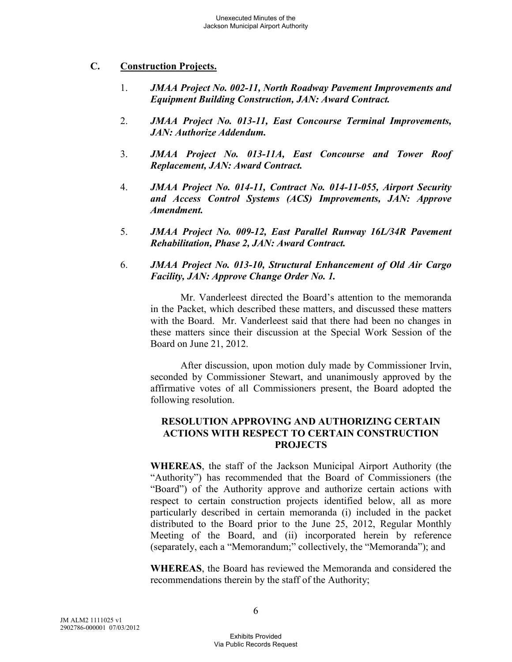### **C. Construction Projects.**

- 1. *JMAA Project No. 002-11, North Roadway Pavement Improvements and Equipment Building Construction, JAN: Award Contract.*
- 2. *JMAA Project No. 013-11, East Concourse Terminal Improvements, JAN: Authorize Addendum.*
- 3. *JMAA Project No. 013-11A, East Concourse and Tower Roof Replacement, JAN: Award Contract.*
- 4. *JMAA Project No. 014-11, Contract No. 014-11-055, Airport Security and Access Control Systems (ACS) Improvements, JAN: Approve Amendment.*
- 5. *JMAA Project No. 009-12, East Parallel Runway 16L/34R Pavement Rehabilitation, Phase 2, JAN: Award Contract.*
- 6. *JMAA Project No. 013-10, Structural Enhancement of Old Air Cargo Facility, JAN: Approve Change Order No. 1.*

Mr. Vanderleest directed the Board's attention to the memoranda in the Packet, which described these matters, and discussed these matters with the Board. Mr. Vanderleest said that there had been no changes in these matters since their discussion at the Special Work Session of the Board on June 21, 2012.

After discussion, upon motion duly made by Commissioner Irvin, seconded by Commissioner Stewart, and unanimously approved by the affirmative votes of all Commissioners present, the Board adopted the following resolution.

### **RESOLUTION APPROVING AND AUTHORIZING CERTAIN ACTIONS WITH RESPECT TO CERTAIN CONSTRUCTION PROJECTS**

**WHEREAS**, the staff of the Jackson Municipal Airport Authority (the "Authority") has recommended that the Board of Commissioners (the "Board") of the Authority approve and authorize certain actions with respect to certain construction projects identified below, all as more particularly described in certain memoranda (i) included in the packet distributed to the Board prior to the June 25, 2012, Regular Monthly Meeting of the Board, and (ii) incorporated herein by reference (separately, each a "Memorandum;" collectively, the "Memoranda"); and

**WHEREAS**, the Board has reviewed the Memoranda and considered the recommendations therein by the staff of the Authority;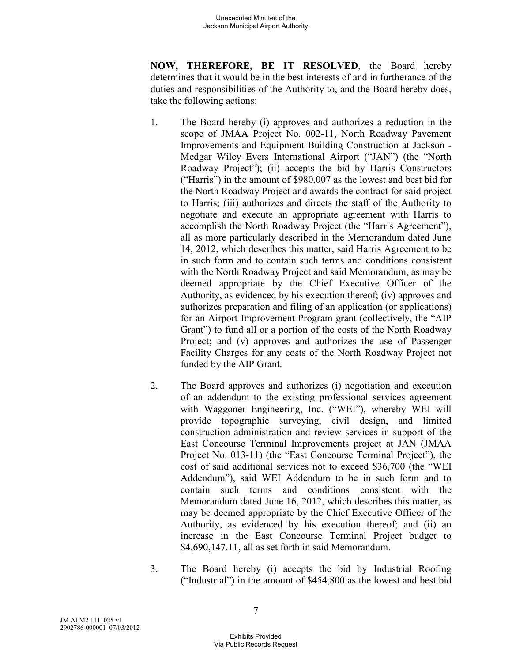**NOW, THEREFORE, BE IT RESOLVED**, the Board hereby determines that it would be in the best interests of and in furtherance of the duties and responsibilities of the Authority to, and the Board hereby does, take the following actions:

- 1. The Board hereby (i) approves and authorizes a reduction in the scope of JMAA Project No. 002-11, North Roadway Pavement Improvements and Equipment Building Construction at Jackson - Medgar Wiley Evers International Airport ("JAN") (the "North Roadway Project"); (ii) accepts the bid by Harris Constructors ("Harris") in the amount of \$980,007 as the lowest and best bid for the North Roadway Project and awards the contract for said project to Harris; (iii) authorizes and directs the staff of the Authority to negotiate and execute an appropriate agreement with Harris to accomplish the North Roadway Project (the "Harris Agreement"), all as more particularly described in the Memorandum dated June 14, 2012, which describes this matter, said Harris Agreement to be in such form and to contain such terms and conditions consistent with the North Roadway Project and said Memorandum, as may be deemed appropriate by the Chief Executive Officer of the Authority, as evidenced by his execution thereof; (iv) approves and authorizes preparation and filing of an application (or applications) for an Airport Improvement Program grant (collectively, the "AIP Grant") to fund all or a portion of the costs of the North Roadway Project; and (v) approves and authorizes the use of Passenger Facility Charges for any costs of the North Roadway Project not funded by the AIP Grant.
- 2. The Board approves and authorizes (i) negotiation and execution of an addendum to the existing professional services agreement with Waggoner Engineering, Inc. ("WEI"), whereby WEI will provide topographic surveying, civil design, and limited construction administration and review services in support of the East Concourse Terminal Improvements project at JAN (JMAA Project No. 013-11) (the "East Concourse Terminal Project"), the cost of said additional services not to exceed \$36,700 (the "WEI Addendum"), said WEI Addendum to be in such form and to contain such terms and conditions consistent with the Memorandum dated June 16, 2012, which describes this matter, as may be deemed appropriate by the Chief Executive Officer of the Authority, as evidenced by his execution thereof; and (ii) an increase in the East Concourse Terminal Project budget to \$4,690,147.11, all as set forth in said Memorandum.
- 3. The Board hereby (i) accepts the bid by Industrial Roofing ("Industrial") in the amount of \$454,800 as the lowest and best bid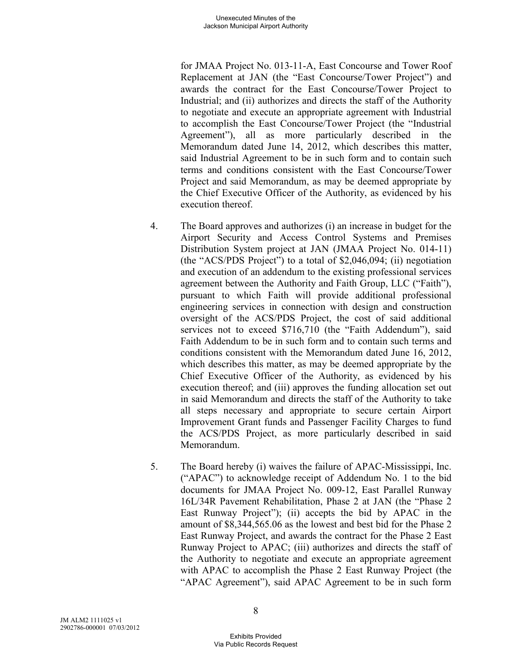for JMAA Project No. 013-11-A, East Concourse and Tower Roof Replacement at JAN (the "East Concourse/Tower Project") and awards the contract for the East Concourse/Tower Project to Industrial; and (ii) authorizes and directs the staff of the Authority to negotiate and execute an appropriate agreement with Industrial to accomplish the East Concourse/Tower Project (the "Industrial Agreement"), all as more particularly described in the Memorandum dated June 14, 2012, which describes this matter, said Industrial Agreement to be in such form and to contain such terms and conditions consistent with the East Concourse/Tower Project and said Memorandum, as may be deemed appropriate by the Chief Executive Officer of the Authority, as evidenced by his execution thereof.

- 4. The Board approves and authorizes (i) an increase in budget for the Airport Security and Access Control Systems and Premises Distribution System project at JAN (JMAA Project No. 014-11) (the "ACS/PDS Project") to a total of \$2,046,094; (ii) negotiation and execution of an addendum to the existing professional services agreement between the Authority and Faith Group, LLC ("Faith"), pursuant to which Faith will provide additional professional engineering services in connection with design and construction oversight of the ACS/PDS Project, the cost of said additional services not to exceed \$716,710 (the "Faith Addendum"), said Faith Addendum to be in such form and to contain such terms and conditions consistent with the Memorandum dated June 16, 2012, which describes this matter, as may be deemed appropriate by the Chief Executive Officer of the Authority, as evidenced by his execution thereof; and (iii) approves the funding allocation set out in said Memorandum and directs the staff of the Authority to take all steps necessary and appropriate to secure certain Airport Improvement Grant funds and Passenger Facility Charges to fund the ACS/PDS Project, as more particularly described in said Memorandum.
- 5. The Board hereby (i) waives the failure of APAC-Mississippi, Inc. ("APAC") to acknowledge receipt of Addendum No. 1 to the bid documents for JMAA Project No. 009-12, East Parallel Runway 16L/34R Pavement Rehabilitation, Phase 2 at JAN (the "Phase 2 East Runway Project"); (ii) accepts the bid by APAC in the amount of \$8,344,565.06 as the lowest and best bid for the Phase 2 East Runway Project, and awards the contract for the Phase 2 East Runway Project to APAC; (iii) authorizes and directs the staff of the Authority to negotiate and execute an appropriate agreement with APAC to accomplish the Phase 2 East Runway Project (the "APAC Agreement"), said APAC Agreement to be in such form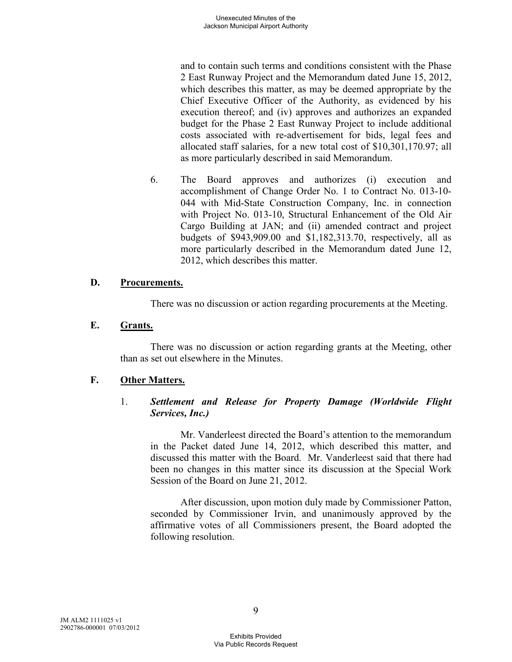and to contain such terms and conditions consistent with the Phase 2 East Runway Project and the Memorandum dated June 15, 2012, which describes this matter, as may be deemed appropriate by the Chief Executive Officer of the Authority, as evidenced by his execution thereof; and (iv) approves and authorizes an expanded budget for the Phase 2 East Runway Project to include additional costs associated with re-advertisement for bids, legal fees and allocated staff salaries, for a new total cost of \$10,301,170.97; all as more particularly described in said Memorandum.

6. The Board approves and authorizes (i) execution and accomplishment of Change Order No. 1 to Contract No. 013-10- 044 with Mid-State Construction Company, Inc. in connection with Project No. 013-10, Structural Enhancement of the Old Air Cargo Building at JAN; and (ii) amended contract and project budgets of \$943,909.00 and \$1,182,313.70, respectively, all as more particularly described in the Memorandum dated June 12, 2012, which describes this matter.

### **D. Procurements.**

There was no discussion or action regarding procurements at the Meeting.

### **E. Grants.**

There was no discussion or action regarding grants at the Meeting, other than as set out elsewhere in the Minutes.

### **F. Other Matters.**

### 1. *Settlement and Release for Property Damage (Worldwide Flight Services, Inc.)*

Mr. Vanderleest directed the Board's attention to the memorandum in the Packet dated June 14, 2012, which described this matter, and discussed this matter with the Board. Mr. Vanderleest said that there had been no changes in this matter since its discussion at the Special Work Session of the Board on June 21, 2012.

After discussion, upon motion duly made by Commissioner Patton, seconded by Commissioner Irvin, and unanimously approved by the affirmative votes of all Commissioners present, the Board adopted the following resolution.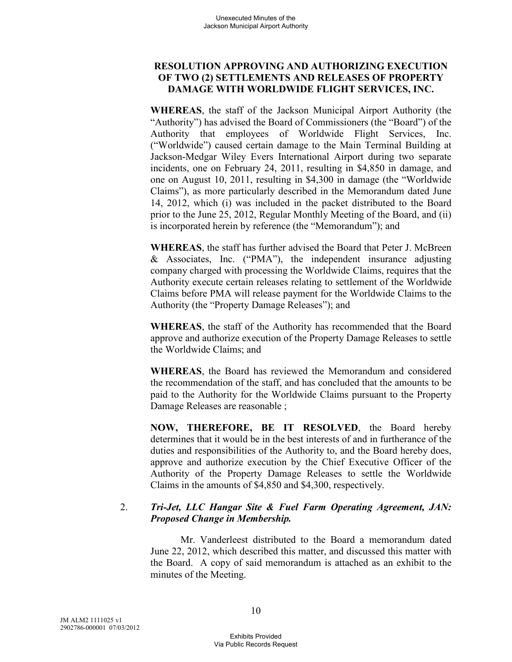### **RESOLUTION APPROVING AND AUTHORIZING EXECUTION OF TWO (2) SETTLEMENTS AND RELEASES OF PROPERTY DAMAGE WITH WORLDWIDE FLIGHT SERVICES, INC.**

**WHEREAS**, the staff of the Jackson Municipal Airport Authority (the "Authority") has advised the Board of Commissioners (the "Board") of the Authority that employees of Worldwide Flight Services, Inc. ("Worldwide") caused certain damage to the Main Terminal Building at Jackson-Medgar Wiley Evers International Airport during two separate incidents, one on February 24, 2011, resulting in \$4,850 in damage, and one on August 10, 2011, resulting in \$4,300 in damage (the "Worldwide Claims"), as more particularly described in the Memorandum dated June 14, 2012, which (i) was included in the packet distributed to the Board prior to the June 25, 2012, Regular Monthly Meeting of the Board, and (ii) is incorporated herein by reference (the "Memorandum"); and

**WHEREAS**, the staff has further advised the Board that Peter J. McBreen & Associates, Inc. ("PMA"), the independent insurance adjusting company charged with processing the Worldwide Claims, requires that the Authority execute certain releases relating to settlement of the Worldwide Claims before PMA will release payment for the Worldwide Claims to the Authority (the "Property Damage Releases"); and

**WHEREAS**, the staff of the Authority has recommended that the Board approve and authorize execution of the Property Damage Releases to settle the Worldwide Claims; and

**WHEREAS**, the Board has reviewed the Memorandum and considered the recommendation of the staff, and has concluded that the amounts to be paid to the Authority for the Worldwide Claims pursuant to the Property Damage Releases are reasonable ;

**NOW, THEREFORE, BE IT RESOLVED**, the Board hereby determines that it would be in the best interests of and in furtherance of the duties and responsibilities of the Authority to, and the Board hereby does, approve and authorize execution by the Chief Executive Officer of the Authority of the Property Damage Releases to settle the Worldwide Claims in the amounts of \$4,850 and \$4,300, respectively.

### 2. *Tri-Jet, LLC Hangar Site & Fuel Farm Operating Agreement, JAN: Proposed Change in Membership.*

Mr. Vanderleest distributed to the Board a memorandum dated June 22, 2012, which described this matter, and discussed this matter with the Board. A copy of said memorandum is attached as an exhibit to the minutes of the Meeting.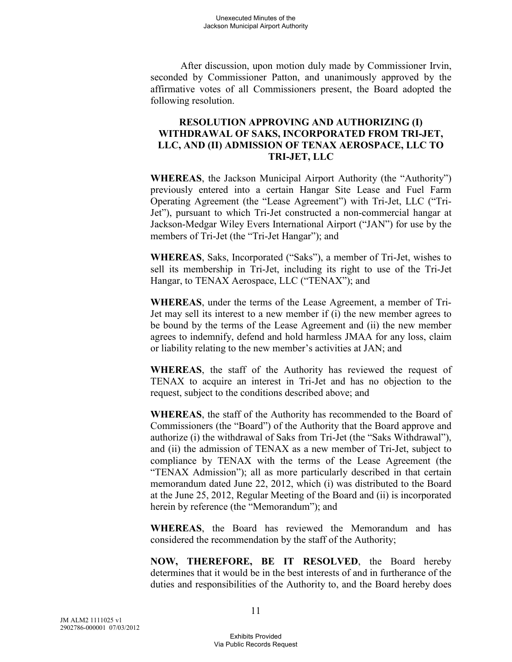After discussion, upon motion duly made by Commissioner Irvin, seconded by Commissioner Patton, and unanimously approved by the affirmative votes of all Commissioners present, the Board adopted the following resolution.

### **RESOLUTION APPROVING AND AUTHORIZING (I) WITHDRAWAL OF SAKS, INCORPORATED FROM TRI-JET, LLC, AND (II) ADMISSION OF TENAX AEROSPACE, LLC TO TRI-JET, LLC**

**WHEREAS**, the Jackson Municipal Airport Authority (the "Authority") previously entered into a certain Hangar Site Lease and Fuel Farm Operating Agreement (the "Lease Agreement") with Tri-Jet, LLC ("Tri-Jet"), pursuant to which Tri-Jet constructed a non-commercial hangar at Jackson-Medgar Wiley Evers International Airport ("JAN") for use by the members of Tri-Jet (the "Tri-Jet Hangar"); and

**WHEREAS**, Saks, Incorporated ("Saks"), a member of Tri-Jet, wishes to sell its membership in Tri-Jet, including its right to use of the Tri-Jet Hangar, to TENAX Aerospace, LLC ("TENAX"); and

**WHEREAS**, under the terms of the Lease Agreement, a member of Tri-Jet may sell its interest to a new member if (i) the new member agrees to be bound by the terms of the Lease Agreement and (ii) the new member agrees to indemnify, defend and hold harmless JMAA for any loss, claim or liability relating to the new member's activities at JAN; and

**WHEREAS**, the staff of the Authority has reviewed the request of TENAX to acquire an interest in Tri-Jet and has no objection to the request, subject to the conditions described above; and

**WHEREAS**, the staff of the Authority has recommended to the Board of Commissioners (the "Board") of the Authority that the Board approve and authorize (i) the withdrawal of Saks from Tri-Jet (the "Saks Withdrawal"), and (ii) the admission of TENAX as a new member of Tri-Jet, subject to compliance by TENAX with the terms of the Lease Agreement (the "TENAX Admission"); all as more particularly described in that certain memorandum dated June 22, 2012, which (i) was distributed to the Board at the June 25, 2012, Regular Meeting of the Board and (ii) is incorporated herein by reference (the "Memorandum"); and

**WHEREAS**, the Board has reviewed the Memorandum and has considered the recommendation by the staff of the Authority;

**NOW, THEREFORE, BE IT RESOLVED**, the Board hereby determines that it would be in the best interests of and in furtherance of the duties and responsibilities of the Authority to, and the Board hereby does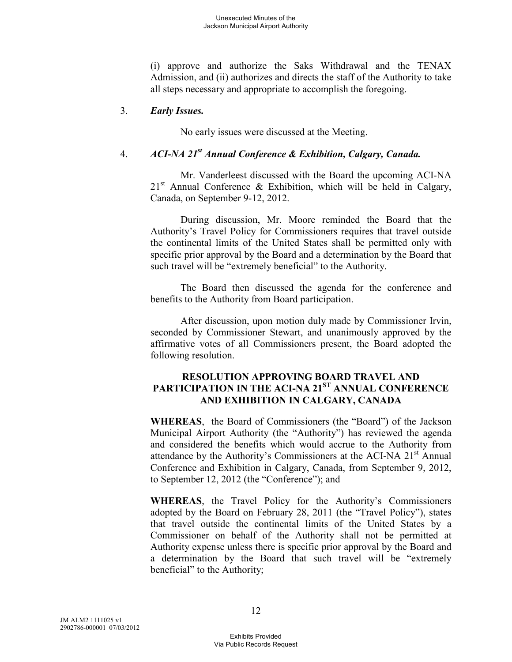(i) approve and authorize the Saks Withdrawal and the TENAX Admission, and (ii) authorizes and directs the staff of the Authority to take all steps necessary and appropriate to accomplish the foregoing.

### 3. *Early Issues.*

No early issues were discussed at the Meeting.

# 4. *ACI-NA 21st Annual Conference & Exhibition, Calgary, Canada.*

Mr. Vanderleest discussed with the Board the upcoming ACI-NA  $21<sup>st</sup>$  Annual Conference & Exhibition, which will be held in Calgary, Canada, on September 9-12, 2012.

During discussion, Mr. Moore reminded the Board that the Authority's Travel Policy for Commissioners requires that travel outside the continental limits of the United States shall be permitted only with specific prior approval by the Board and a determination by the Board that such travel will be "extremely beneficial" to the Authority.

The Board then discussed the agenda for the conference and benefits to the Authority from Board participation.

After discussion, upon motion duly made by Commissioner Irvin, seconded by Commissioner Stewart, and unanimously approved by the affirmative votes of all Commissioners present, the Board adopted the following resolution.

## **RESOLUTION APPROVING BOARD TRAVEL AND PARTICIPATION IN THE ACI-NA 21ST ANNUAL CONFERENCE AND EXHIBITION IN CALGARY, CANADA**

**WHEREAS**, the Board of Commissioners (the "Board") of the Jackson Municipal Airport Authority (the "Authority") has reviewed the agenda and considered the benefits which would accrue to the Authority from attendance by the Authority's Commissioners at the ACI-NA  $21<sup>st</sup>$  Annual Conference and Exhibition in Calgary, Canada, from September 9, 2012, to September 12, 2012 (the "Conference"); and

**WHEREAS**, the Travel Policy for the Authority's Commissioners adopted by the Board on February 28, 2011 (the "Travel Policy"), states that travel outside the continental limits of the United States by a Commissioner on behalf of the Authority shall not be permitted at Authority expense unless there is specific prior approval by the Board and a determination by the Board that such travel will be "extremely beneficial" to the Authority;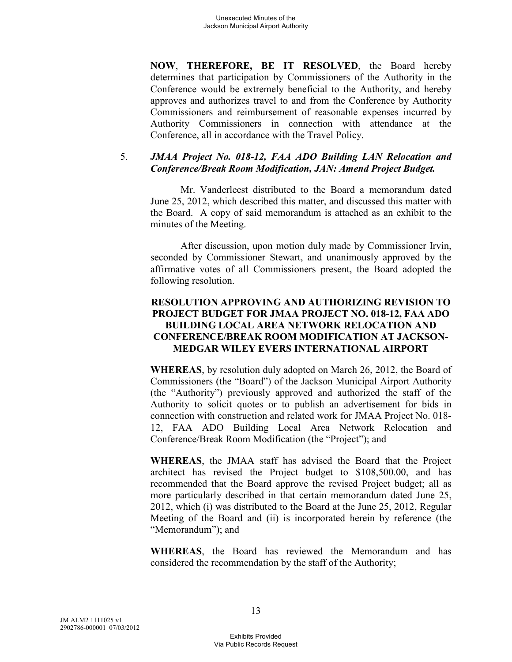**NOW**, **THEREFORE, BE IT RESOLVED**, the Board hereby determines that participation by Commissioners of the Authority in the Conference would be extremely beneficial to the Authority, and hereby approves and authorizes travel to and from the Conference by Authority Commissioners and reimbursement of reasonable expenses incurred by Authority Commissioners in connection with attendance at the Conference, all in accordance with the Travel Policy.

#### 5. *JMAA Project No. 018-12, FAA ADO Building LAN Relocation and Conference/Break Room Modification, JAN: Amend Project Budget.*

Mr. Vanderleest distributed to the Board a memorandum dated June 25, 2012, which described this matter, and discussed this matter with the Board. A copy of said memorandum is attached as an exhibit to the minutes of the Meeting.

After discussion, upon motion duly made by Commissioner Irvin, seconded by Commissioner Stewart, and unanimously approved by the affirmative votes of all Commissioners present, the Board adopted the following resolution.

### **RESOLUTION APPROVING AND AUTHORIZING REVISION TO PROJECT BUDGET FOR JMAA PROJECT NO. 018-12, FAA ADO BUILDING LOCAL AREA NETWORK RELOCATION AND CONFERENCE/BREAK ROOM MODIFICATION AT JACKSON-MEDGAR WILEY EVERS INTERNATIONAL AIRPORT**

**WHEREAS**, by resolution duly adopted on March 26, 2012, the Board of Commissioners (the "Board") of the Jackson Municipal Airport Authority (the "Authority") previously approved and authorized the staff of the Authority to solicit quotes or to publish an advertisement for bids in connection with construction and related work for JMAA Project No. 018- 12, FAA ADO Building Local Area Network Relocation and Conference/Break Room Modification (the "Project"); and

**WHEREAS**, the JMAA staff has advised the Board that the Project architect has revised the Project budget to \$108,500.00, and has recommended that the Board approve the revised Project budget; all as more particularly described in that certain memorandum dated June 25, 2012, which (i) was distributed to the Board at the June 25, 2012, Regular Meeting of the Board and (ii) is incorporated herein by reference (the "Memorandum"); and

**WHEREAS**, the Board has reviewed the Memorandum and has considered the recommendation by the staff of the Authority;